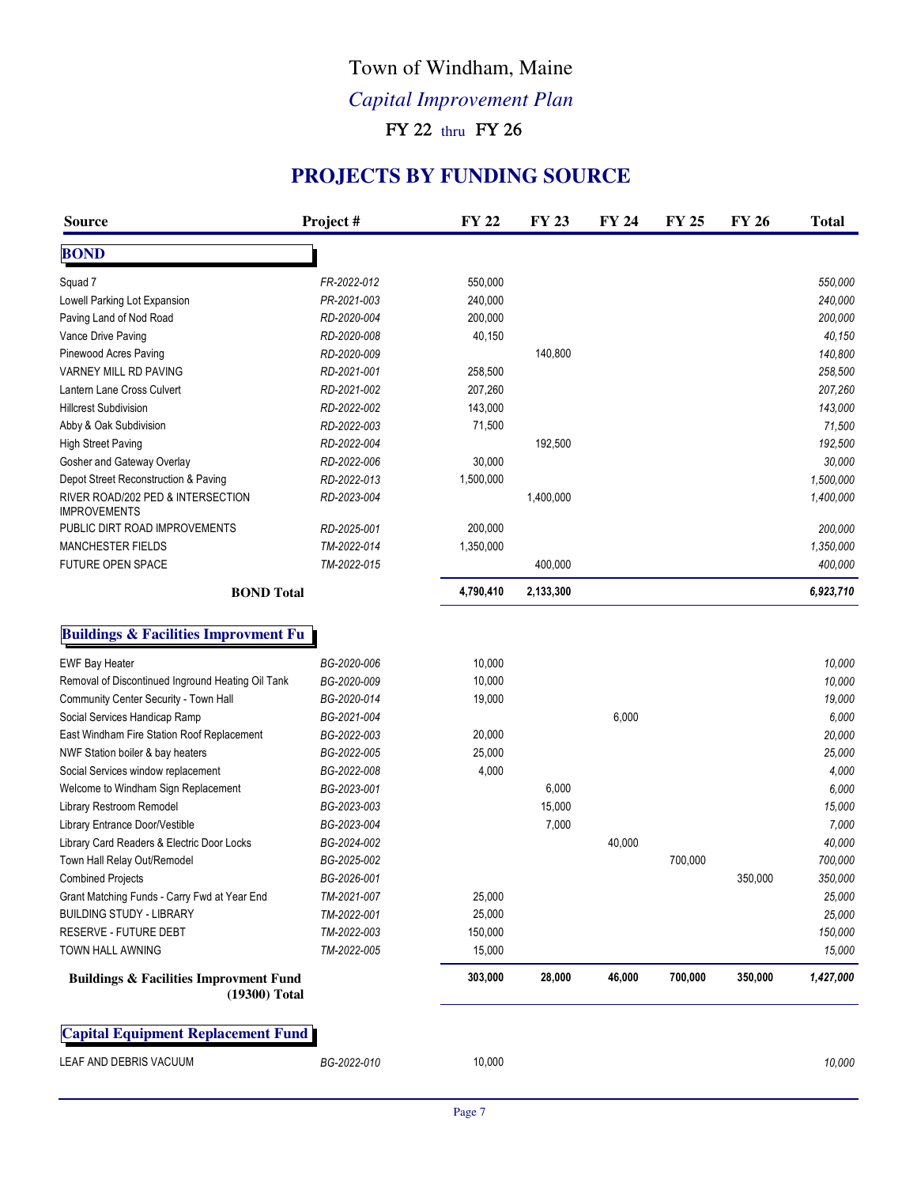# Town of Windham, Maine

*Capital Improvement Plan*

FY 22 thru FY 26

#### **PROJECTS BY FUNDING SOURCE**

| FR-2022-012<br>PR-2021-003<br>RD-2020-004<br>RD-2020-008<br>RD-2020-009<br>RD-2021-001<br>RD-2021-002<br>RD-2022-002<br>RD-2022-003<br>RD-2022-004<br>RD-2022-006 | 550,000<br>240,000<br>200,000<br>40,150<br>258,500<br>207,260<br>143,000<br>71,500                                                                 | 140,800                   |                          |         |         | 200,000                      |
|-------------------------------------------------------------------------------------------------------------------------------------------------------------------|----------------------------------------------------------------------------------------------------------------------------------------------------|---------------------------|--------------------------|---------|---------|------------------------------|
|                                                                                                                                                                   |                                                                                                                                                    |                           |                          |         |         | 550,000<br>240,000<br>40,150 |
|                                                                                                                                                                   |                                                                                                                                                    |                           |                          |         |         |                              |
|                                                                                                                                                                   |                                                                                                                                                    |                           |                          |         |         |                              |
|                                                                                                                                                                   |                                                                                                                                                    |                           |                          |         |         |                              |
|                                                                                                                                                                   |                                                                                                                                                    |                           |                          |         |         |                              |
|                                                                                                                                                                   |                                                                                                                                                    |                           |                          |         |         | 140,800                      |
|                                                                                                                                                                   |                                                                                                                                                    |                           |                          |         |         | 258,500                      |
|                                                                                                                                                                   |                                                                                                                                                    |                           |                          |         |         | 207,260                      |
|                                                                                                                                                                   |                                                                                                                                                    |                           |                          |         |         | 143,000                      |
|                                                                                                                                                                   |                                                                                                                                                    |                           |                          |         |         | 71,500                       |
|                                                                                                                                                                   |                                                                                                                                                    | 192,500                   |                          |         |         | 192,500                      |
|                                                                                                                                                                   | 30,000                                                                                                                                             |                           |                          |         |         | 30,000                       |
| RD-2022-013                                                                                                                                                       | 1,500,000                                                                                                                                          |                           |                          |         |         | 1,500,000                    |
| RD-2023-004                                                                                                                                                       |                                                                                                                                                    | 1,400,000                 |                          |         |         | 1,400,000                    |
| RD-2025-001                                                                                                                                                       | 200,000                                                                                                                                            |                           |                          |         |         | 200,000                      |
| TM-2022-014                                                                                                                                                       | 1,350,000                                                                                                                                          |                           |                          |         |         | 1,350,000                    |
| TM-2022-015                                                                                                                                                       |                                                                                                                                                    | 400,000                   |                          |         |         | 400,000                      |
|                                                                                                                                                                   | 4,790,410                                                                                                                                          | 2,133,300                 |                          |         |         | 6,923,710                    |
|                                                                                                                                                                   |                                                                                                                                                    |                           |                          |         |         |                              |
| BG-2020-006                                                                                                                                                       | 10,000                                                                                                                                             |                           |                          |         |         | 10,000                       |
| BG-2020-009                                                                                                                                                       | 10,000                                                                                                                                             |                           |                          |         |         | 10,000                       |
| BG-2020-014                                                                                                                                                       | 19,000                                                                                                                                             |                           |                          |         |         | 19,000                       |
| BG-2021-004                                                                                                                                                       |                                                                                                                                                    |                           | 6,000                    |         |         | 6,000                        |
|                                                                                                                                                                   |                                                                                                                                                    |                           |                          |         |         | 20,000                       |
|                                                                                                                                                                   |                                                                                                                                                    |                           |                          |         |         | 25,000                       |
|                                                                                                                                                                   |                                                                                                                                                    |                           |                          |         |         | 4,000                        |
|                                                                                                                                                                   |                                                                                                                                                    |                           |                          |         |         | 6,000                        |
|                                                                                                                                                                   |                                                                                                                                                    |                           |                          |         |         | 15,000                       |
|                                                                                                                                                                   |                                                                                                                                                    |                           |                          |         |         | 7,000                        |
|                                                                                                                                                                   |                                                                                                                                                    |                           |                          |         |         | 40,000                       |
|                                                                                                                                                                   |                                                                                                                                                    |                           |                          |         |         | 700,000                      |
|                                                                                                                                                                   |                                                                                                                                                    |                           |                          |         |         | 350,000                      |
|                                                                                                                                                                   | 25,000                                                                                                                                             |                           |                          |         |         | 25,000                       |
| TM-2022-001                                                                                                                                                       | 25,000                                                                                                                                             |                           |                          |         |         | 25,000                       |
| TM-2022-003                                                                                                                                                       | 150,000                                                                                                                                            |                           |                          |         |         | 150,000                      |
| TM-2022-005                                                                                                                                                       | 15,000                                                                                                                                             |                           |                          |         |         | 15,000                       |
|                                                                                                                                                                   | 303,000                                                                                                                                            | 28,000                    | 46,000                   | 700,000 | 350,000 | 1,427,000                    |
|                                                                                                                                                                   |                                                                                                                                                    |                           |                          |         |         |                              |
|                                                                                                                                                                   |                                                                                                                                                    |                           |                          |         |         |                              |
|                                                                                                                                                                   | BG-2022-003<br>BG-2022-005<br>BG-2022-008<br>BG-2023-001<br>BG-2023-003<br>BG-2023-004<br>BG-2024-002<br>BG-2025-002<br>BG-2026-001<br>TM-2021-007 | 20,000<br>25,000<br>4,000 | 6,000<br>15,000<br>7,000 | 40,000  | 700,000 | 350,000                      |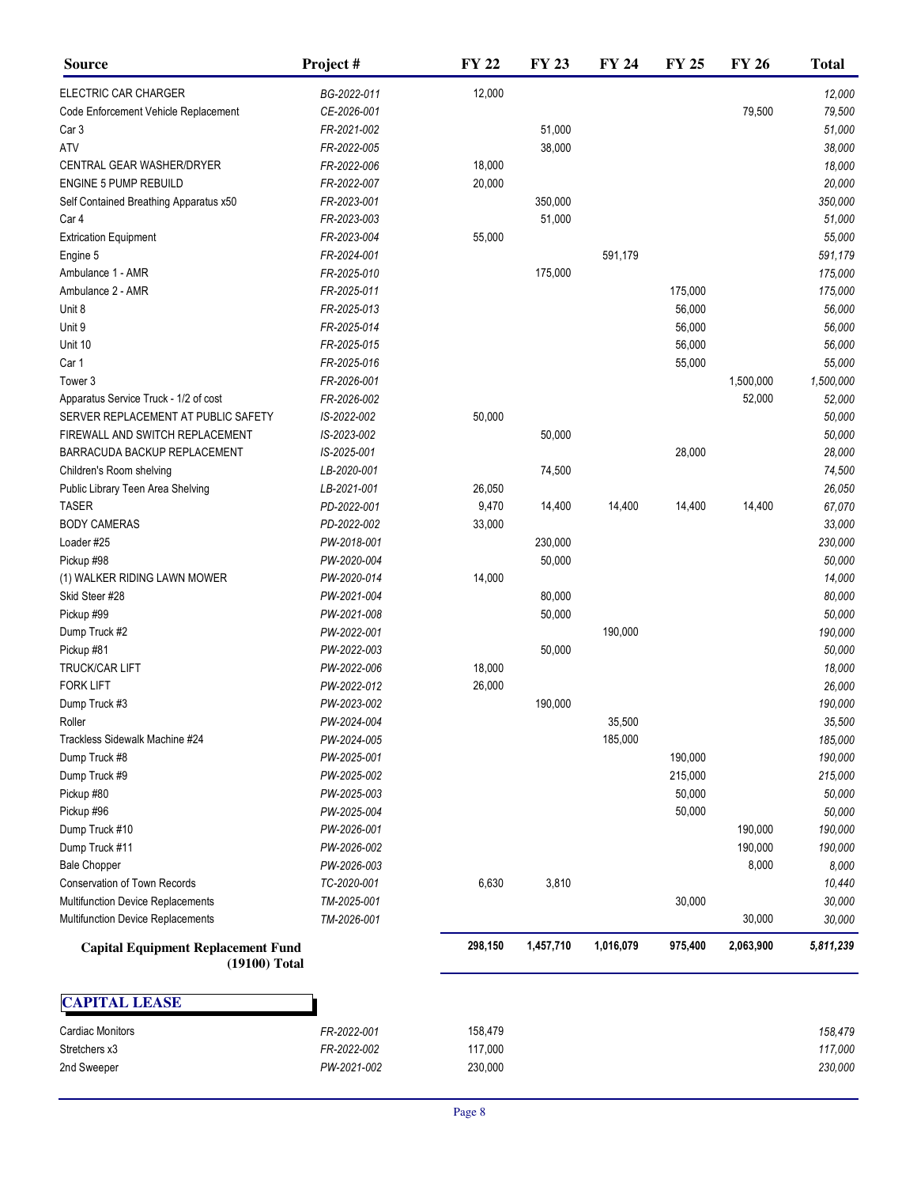| <b>Source</b>                                              | Project#    | <b>FY 22</b> | <b>FY 23</b> | <b>FY 24</b>      | <b>FY 25</b> | <b>FY 26</b> | <b>Total</b>      |
|------------------------------------------------------------|-------------|--------------|--------------|-------------------|--------------|--------------|-------------------|
| ELECTRIC CAR CHARGER                                       | BG-2022-011 | 12,000       |              |                   |              |              | 12,000            |
| Code Enforcement Vehicle Replacement                       | CE-2026-001 |              |              |                   |              | 79,500       | 79,500            |
| Car <sub>3</sub>                                           | FR-2021-002 |              | 51,000       |                   |              |              | 51,000            |
| ATV                                                        | FR-2022-005 |              | 38,000       |                   |              |              | 38,000            |
| CENTRAL GEAR WASHER/DRYER                                  | FR-2022-006 | 18,000       |              |                   |              |              | 18,000            |
| <b>ENGINE 5 PUMP REBUILD</b>                               | FR-2022-007 | 20,000       |              |                   |              |              | 20,000            |
| Self Contained Breathing Apparatus x50                     | FR-2023-001 |              | 350,000      |                   |              |              | 350,000           |
| Car 4                                                      | FR-2023-003 |              | 51,000       |                   |              |              | 51,000            |
| <b>Extrication Equipment</b>                               | FR-2023-004 | 55,000       |              |                   |              |              | 55,000            |
| Engine 5                                                   | FR-2024-001 |              |              | 591,179           |              |              | 591,179           |
| Ambulance 1 - AMR                                          | FR-2025-010 |              | 175,000      |                   |              |              | 175,000           |
| Ambulance 2 - AMR                                          | FR-2025-011 |              |              |                   | 175,000      |              | 175,000           |
| Unit 8                                                     | FR-2025-013 |              |              |                   | 56,000       |              | 56,000            |
| Unit 9                                                     | FR-2025-014 |              |              |                   | 56,000       |              | 56,000            |
| Unit 10                                                    | FR-2025-015 |              |              |                   | 56,000       |              | 56,000            |
| Car 1                                                      | FR-2025-016 |              |              |                   | 55,000       |              | 55,000            |
| Tower <sub>3</sub>                                         | FR-2026-001 |              |              |                   |              | 1,500,000    | 1,500,000         |
| Apparatus Service Truck - 1/2 of cost                      | FR-2026-002 |              |              |                   |              | 52,000       | 52,000            |
| SERVER REPLACEMENT AT PUBLIC SAFETY                        | IS-2022-002 | 50,000       |              |                   |              |              | 50,000            |
| FIREWALL AND SWITCH REPLACEMENT                            | IS-2023-002 |              | 50,000       |                   |              |              | 50,000            |
| BARRACUDA BACKUP REPLACEMENT                               | IS-2025-001 |              |              |                   | 28,000       |              | 28,000            |
| Children's Room shelving                                   | LB-2020-001 |              | 74,500       |                   |              |              | 74,500            |
| Public Library Teen Area Shelving                          | LB-2021-001 | 26,050       |              |                   |              |              | 26,050            |
| <b>TASER</b>                                               | PD-2022-001 | 9,470        | 14,400       | 14,400            | 14,400       | 14,400       | 67,070            |
| <b>BODY CAMERAS</b>                                        | PD-2022-002 | 33,000       |              |                   |              |              | 33,000            |
| Loader #25                                                 | PW-2018-001 |              | 230,000      |                   |              |              | 230,000           |
| Pickup #98                                                 | PW-2020-004 |              | 50,000       |                   |              |              | 50,000            |
| (1) WALKER RIDING LAWN MOWER                               | PW-2020-014 | 14,000       |              |                   |              |              | 14,000            |
| Skid Steer #28                                             | PW-2021-004 |              | 80,000       |                   |              |              | 80,000            |
| Pickup #99                                                 | PW-2021-008 |              | 50,000       |                   |              |              | 50,000            |
| Dump Truck #2                                              | PW-2022-001 |              |              | 190,000           |              |              | 190,000           |
| Pickup #81                                                 | PW-2022-003 |              | 50,000       |                   |              |              | 50,000            |
| TRUCK/CAR LIFT                                             | PW-2022-006 | 18,000       |              |                   |              |              | 18,000            |
| <b>FORK LIFT</b>                                           | PW-2022-012 | 26,000       |              |                   |              |              | 26,000            |
| Dump Truck #3                                              | PW-2023-002 |              | 190,000      |                   |              |              | 190,000           |
| Roller                                                     | PW-2024-004 |              |              |                   |              |              |                   |
| Trackless Sidewalk Machine #24                             | PW-2024-005 |              |              | 35,500<br>185,000 |              |              | 35,500<br>185,000 |
|                                                            |             |              |              |                   |              |              |                   |
| Dump Truck #8                                              | PW-2025-001 |              |              |                   | 190,000      |              | 190,000           |
| Dump Truck #9                                              | PW-2025-002 |              |              |                   | 215,000      |              | 215,000           |
| Pickup #80                                                 | PW-2025-003 |              |              |                   | 50,000       |              | 50,000            |
| Pickup #96                                                 | PW-2025-004 |              |              |                   | 50,000       |              | 50,000            |
| Dump Truck #10                                             | PW-2026-001 |              |              |                   |              | 190,000      | 190,000           |
| Dump Truck #11                                             | PW-2026-002 |              |              |                   |              | 190,000      | 190,000           |
| <b>Bale Chopper</b>                                        | PW-2026-003 |              |              |                   |              | 8,000        | 8,000             |
| <b>Conservation of Town Records</b>                        | TC-2020-001 | 6,630        | 3,810        |                   |              |              | 10,440            |
| Multifunction Device Replacements                          | TM-2025-001 |              |              |                   | 30,000       |              | 30,000            |
| Multifunction Device Replacements                          | TM-2026-001 |              |              |                   |              | 30,000       | 30,000            |
| <b>Capital Equipment Replacement Fund</b><br>(19100) Total |             | 298,150      | 1,457,710    | 1,016,079         | 975,400      | 2,063,900    | 5,811,239         |
| <b>CAPITAL LEASE</b>                                       |             |              |              |                   |              |              |                   |
| <b>Cardiac Monitors</b>                                    | FR-2022-001 | 158,479      |              |                   |              |              | 158,479           |
| Stretchers x3                                              | FR-2022-002 | 117,000      |              |                   |              |              | 117,000           |

2nd Sweeper *PW-2021-002* 230,000 *230,000*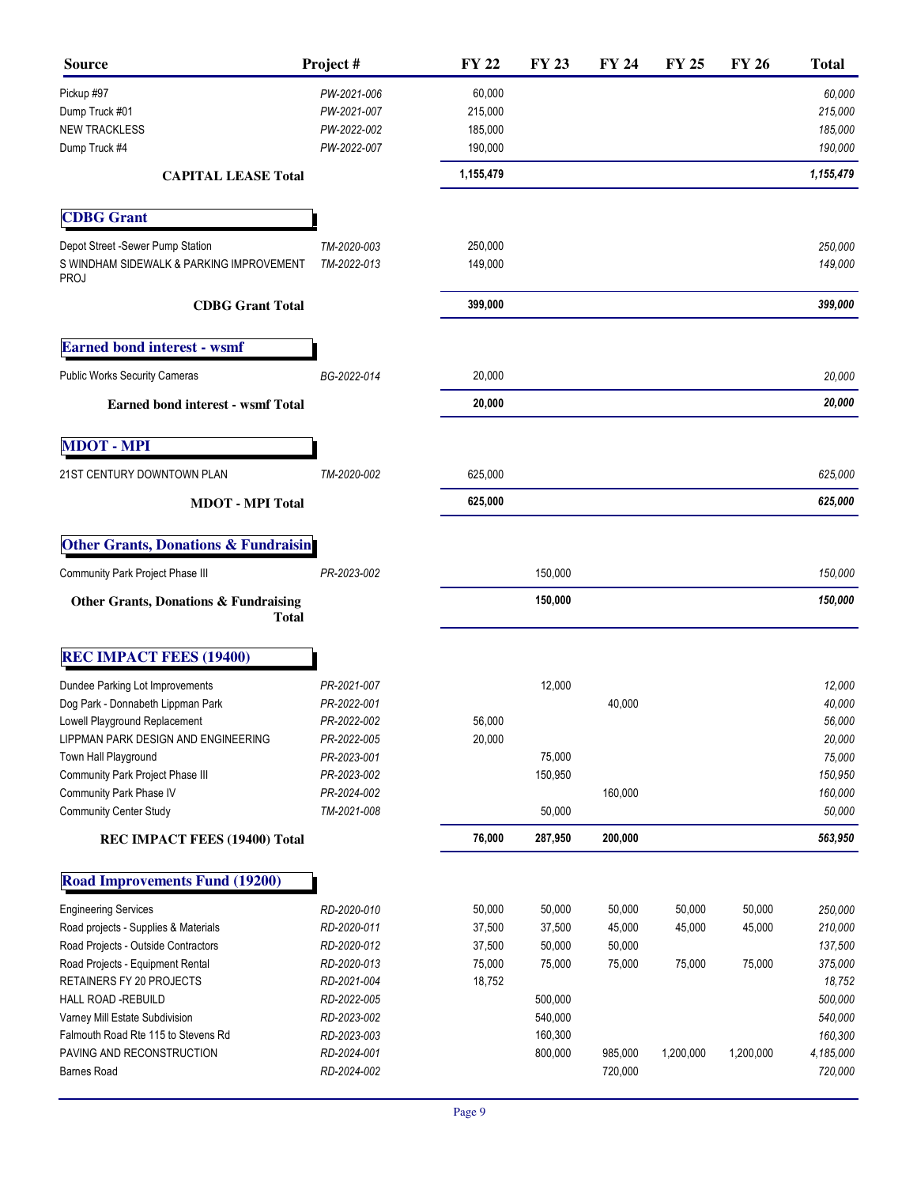| <b>Source</b>                                                                               | Project#                   | <b>FY 22</b>       | <b>FY 23</b> | <b>FY 24</b> | <b>FY 25</b> | <b>FY 26</b> | <b>Total</b>       |
|---------------------------------------------------------------------------------------------|----------------------------|--------------------|--------------|--------------|--------------|--------------|--------------------|
| Pickup #97                                                                                  | PW-2021-006                | 60,000             |              |              |              |              | 60,000             |
| Dump Truck #01                                                                              | PW-2021-007                | 215,000            |              |              |              |              | 215,000            |
| <b>NEW TRACKLESS</b>                                                                        | PW-2022-002                | 185,000            |              |              |              |              | 185,000            |
| Dump Truck #4                                                                               | PW-2022-007                | 190,000            |              |              |              |              | 190,000            |
| <b>CAPITAL LEASE Total</b>                                                                  |                            | 1,155,479          |              |              |              |              | 1,155,479          |
| <b>CDBG</b> Grant                                                                           |                            |                    |              |              |              |              |                    |
|                                                                                             |                            |                    |              |              |              |              |                    |
| Depot Street -Sewer Pump Station<br>S WINDHAM SIDEWALK & PARKING IMPROVEMENT<br><b>PROJ</b> | TM-2020-003<br>TM-2022-013 | 250,000<br>149,000 |              |              |              |              | 250,000<br>149,000 |
| <b>CDBG</b> Grant Total                                                                     |                            | 399,000            |              |              |              |              | 399,000            |
| <b>Earned bond interest - wsmf</b>                                                          |                            |                    |              |              |              |              |                    |
| <b>Public Works Security Cameras</b>                                                        | BG-2022-014                | 20,000             |              |              |              |              | 20,000             |
| <b>Earned bond interest - wsmf Total</b>                                                    |                            | 20,000             |              |              |              |              | 20,000             |
| <b>MDOT - MPI</b>                                                                           |                            |                    |              |              |              |              |                    |
| 21ST CENTURY DOWNTOWN PLAN                                                                  | TM-2020-002                | 625,000            |              |              |              |              | 625,000            |
| <b>MDOT</b> - MPI Total                                                                     |                            | 625,000            |              |              |              |              | 625,000            |
|                                                                                             |                            |                    |              |              |              |              |                    |
| <b>Other Grants, Donations &amp; Fundraisin</b>                                             |                            |                    |              |              |              |              |                    |
| Community Park Project Phase III                                                            | PR-2023-002                |                    | 150,000      |              |              |              | 150,000            |
| Other Grants, Donations & Fundraising<br><b>Total</b>                                       |                            |                    | 150,000      |              |              |              | 150,000            |
| <b>REC IMPACT FEES (19400)</b>                                                              |                            |                    |              |              |              |              |                    |
| Dundee Parking Lot Improvements                                                             | PR-2021-007                |                    | 12,000       |              |              |              | 12,000             |
| Dog Park - Donnabeth Lippman Park                                                           | PR-2022-001                |                    |              | 40,000       |              |              | 40,000             |
| Lowell Playground Replacement                                                               | PR-2022-002                | 56,000             |              |              |              |              | 56,000             |
| LIPPMAN PARK DESIGN AND ENGINEERING                                                         | PR-2022-005                | 20,000             |              |              |              |              | 20,000             |
| Town Hall Playground                                                                        | PR-2023-001                |                    | 75,000       |              |              |              | 75,000             |
| Community Park Project Phase III                                                            | PR-2023-002                |                    | 150,950      |              |              |              | 150,950            |
| Community Park Phase IV                                                                     | PR-2024-002                |                    |              | 160,000      |              |              | 160,000            |
| <b>Community Center Study</b>                                                               | TM-2021-008                |                    | 50,000       |              |              |              | 50,000             |
| REC IMPACT FEES (19400) Total                                                               |                            | 76,000             | 287,950      | 200,000      |              |              | 563,950            |
| <b>Road Improvements Fund (19200)</b>                                                       |                            |                    |              |              |              |              |                    |
| <b>Engineering Services</b>                                                                 | RD-2020-010                | 50,000             | 50,000       | 50,000       | 50,000       | 50,000       | 250,000            |
| Road projects - Supplies & Materials                                                        | RD-2020-011                | 37,500             | 37,500       | 45,000       | 45,000       | 45,000       | 210,000            |
| Road Projects - Outside Contractors                                                         | RD-2020-012                | 37,500             | 50,000       | 50,000       |              |              | 137,500            |
| Road Projects - Equipment Rental                                                            | RD-2020-013                | 75,000             | 75,000       | 75,000       | 75,000       | 75,000       | 375,000            |
| RETAINERS FY 20 PROJECTS                                                                    | RD-2021-004                | 18,752             |              |              |              |              | 18,752             |
| HALL ROAD -REBUILD                                                                          | RD-2022-005                |                    | 500,000      |              |              |              | 500,000            |
| Varney Mill Estate Subdivision                                                              | RD-2023-002                |                    | 540,000      |              |              |              | 540,000            |
| Falmouth Road Rte 115 to Stevens Rd                                                         | RD-2023-003                |                    | 160,300      |              |              |              | 160,300            |
| PAVING AND RECONSTRUCTION                                                                   | RD-2024-001                |                    | 800,000      | 985,000      | 1,200,000    | 1,200,000    | 4,185,000          |
| <b>Barnes Road</b>                                                                          | RD-2024-002                |                    |              | 720,000      |              |              | 720,000            |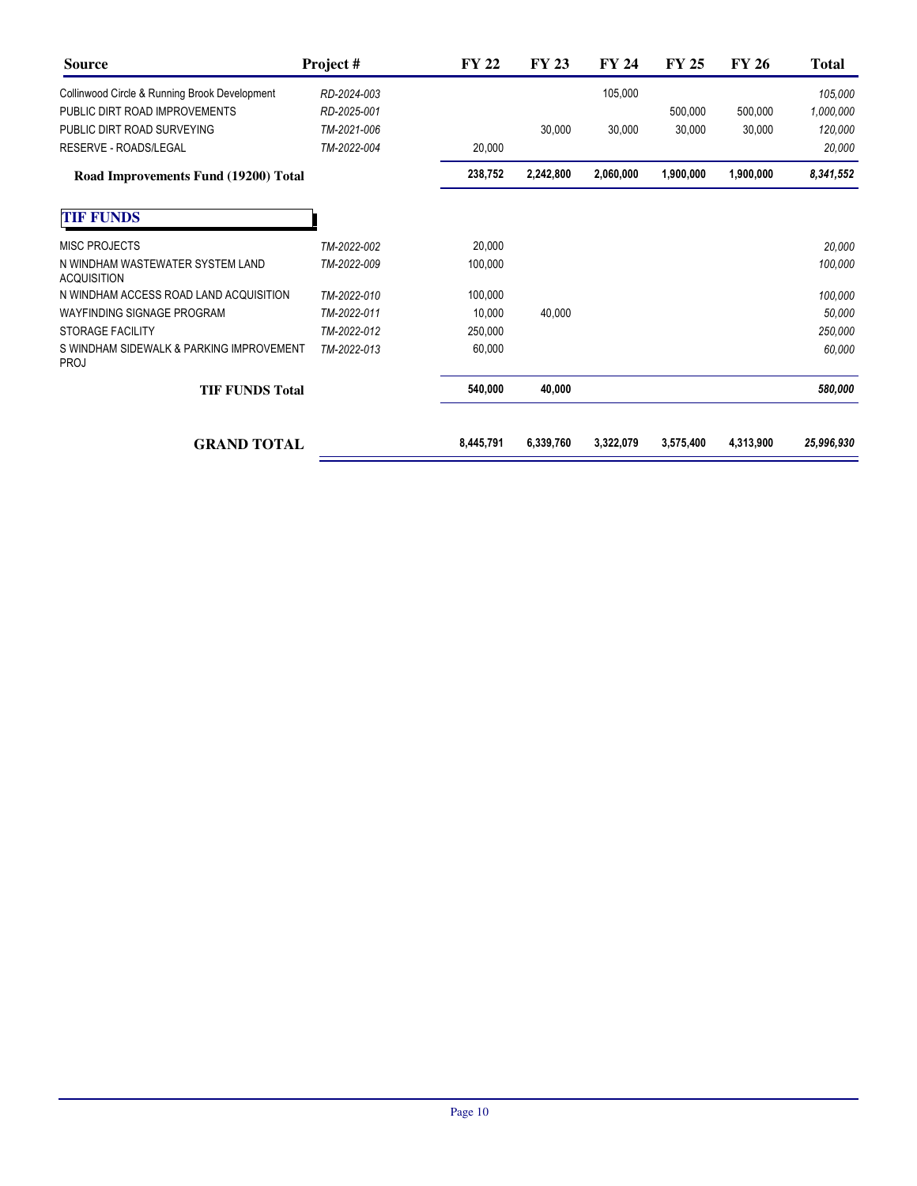| <b>Source</b>                                          | Project #   | <b>FY 22</b> | <b>FY 23</b> | <b>FY 24</b> | <b>FY 25</b> | <b>FY 26</b> | <b>Total</b> |
|--------------------------------------------------------|-------------|--------------|--------------|--------------|--------------|--------------|--------------|
| Collinwood Circle & Running Brook Development          | RD-2024-003 |              |              | 105,000      |              |              | 105,000      |
| PUBLIC DIRT ROAD IMPROVEMENTS                          | RD-2025-001 |              |              |              | 500,000      | 500,000      | 1,000,000    |
| PUBLIC DIRT ROAD SURVEYING                             | TM-2021-006 |              | 30,000       | 30,000       | 30,000       | 30,000       | 120,000      |
| <b>RESERVE - ROADS/LEGAL</b>                           | TM-2022-004 | 20,000       |              |              |              |              | 20,000       |
| Road Improvements Fund (19200) Total                   |             | 238,752      | 2,242,800    | 2,060,000    | 1,900,000    | 1,900,000    | 8,341,552    |
| <b>TIF FUNDS</b>                                       |             |              |              |              |              |              |              |
| <b>MISC PROJECTS</b>                                   | TM-2022-002 | 20,000       |              |              |              |              | 20,000       |
| N WINDHAM WASTEWATER SYSTEM LAND<br><b>ACQUISITION</b> | TM-2022-009 | 100,000      |              |              |              |              | 100,000      |
| N WINDHAM ACCESS ROAD LAND ACQUISITION                 | TM-2022-010 | 100,000      |              |              |              |              | 100,000      |
| <b>WAYFINDING SIGNAGE PROGRAM</b>                      | TM-2022-011 | 10,000       | 40,000       |              |              |              | 50,000       |
| <b>STORAGE FACILITY</b>                                | TM-2022-012 | 250,000      |              |              |              |              | 250,000      |
| S WINDHAM SIDEWALK & PARKING IMPROVEMENT<br>PROJ       | TM-2022-013 | 60,000       |              |              |              |              | 60,000       |
| <b>TIF FUNDS Total</b>                                 |             | 540,000      | 40,000       |              |              |              | 580,000      |
| <b>GRAND TOTAL</b>                                     |             | 8,445,791    | 6,339,760    | 3,322,079    | 3,575,400    | 4,313,900    | 25,996,930   |